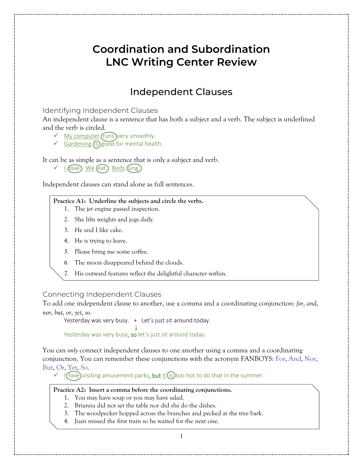# **Coordination and Subordination LNC Writing Center Review**

## Independent Clauses

Identifying Independent Clauses

An independent clause is a sentence that has both a subject and a verb. The subject is underlined and the verb is circled.

- $\checkmark$  My computer (runs ) very smoothly.
- $\checkmark$  Gardening (is) good for mental health.

It can be as simple as a sentence that is only a subject and verb.

 $\checkmark$  I (love.) We (eat.) Birds (sing.)

Independent clauses can stand alone as full sentences.

### **Practice A1: Underline the subjects and circle the verbs.**

- 1. The jet engine passed inspection.
- 2. She lifts weights and jogs daily.
- 3. He and I like cake.
- 4. He is trying to leave.
- *5.* Please bring me some coffee.
- *6.* The moon disappeared behind the clouds.
- *7.* His outward features reflect the delightful character within.

### Connecting Independent Clauses

To add one independent clause to another, use a comma and a coordinating conjunction: *for*, *and*, *nor*, *but*, *or*, *yet*, *so*.

Yesterday was very busy. + Let's just sit around today.

 ↓ Yesterday was very busy, so let's just sit around today.

You can *only* connect independent clauses to one another using a comma and a coordinating conjunction. You can remember these conjunctions with the acronym FANBOYS: For, And, Nor, But, Or, Yet, So.

 $\checkmark$  I (love) visiting amusement parks, but it (is) too hot to do that in the summer.

#### **Practice A2: Insert a comma before the coordinating conjunctions.**

- 1. You may have soup or you may have salad.
- 2. Brianna did not set the table nor did she do the dishes.
- 3. The woodpecker hopped across the branches and pecked at the tree bark.
- 4. Juan missed the first train so he waited for the next one.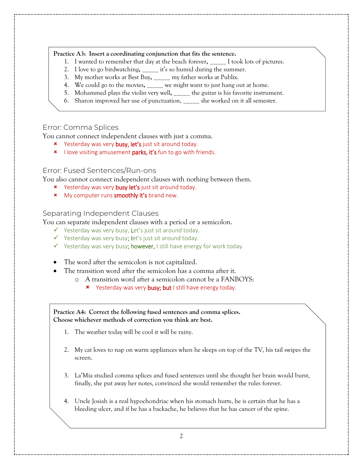### **Practice A3: Insert a coordinating conjunction that fits the sentence.**

- 1. I wanted to remember that day at the beach forever**,** \_\_\_\_\_ I took lots of pictures.
- 2. I love to go birdwatching**,** \_\_\_\_\_ it's so humid during the summer.
- 3. My mother works at Best Buy**,** \_\_\_\_\_ my father works at Publix.
- 4. We could go to the movies**,** \_\_\_\_\_ we might want to just hang out at home.
- 5. Mohammed plays the violin very well**,** \_\_\_\_\_ the guitar is his favorite instrument.
- 6. Sharon improved her use of punctuation, \_\_\_\_\_ she worked on it all semester.

### Error: Comma Splices

You cannot connect independent clauses with just a comma.

- **x** Yesterday was very **busy, let's** just sit around today.
- x I love visiting amusement parks, it's fun to go with friends.

### Error: Fused Sentences/Run-ons

You also cannot connect independent clauses with nothing between them.

- **x** Yesterday was very **busy let's** just sit around today.
- **x** My computer runs **smoothly it's** brand new.

### Separating Independent Clauses

You can separate independent clauses with a period or a semicolon.

- $\checkmark$  Yesterday was very busy. Let's just sit around today.
- $\checkmark$  Yesterday was very busy; let's just sit around today.
- $\checkmark$  Yesterday was very busy; however, I still have energy for work today.
- The word after the semicolon is not capitalized.
- The transition word after the semicolon has a comma after it.
	- o A transition word after a semicolon cannot be a FANBOYS:
		- **x** Yesterday was very busy; but I still have energy today.

**Practice A4: Correct the following fused sentences and comma splices. Choose whichever methods of correction you think are best.**

- 1. The weather today will be cool it will be rainy.
- 2. My cat loves to nap on warm appliances when he sleeps on top of the TV, his tail swipes the screen.
- 3. La'Mia studied comma splices and fused sentences until she thought her brain would burst, finally, she put away her notes, convinced she would remember the rules forever.
- 4. Uncle Josiah is a real hypochondriac when his stomach hurts, he is certain that he has a bleeding ulcer, and if he has a backache, he believes that he has cancer of the spine.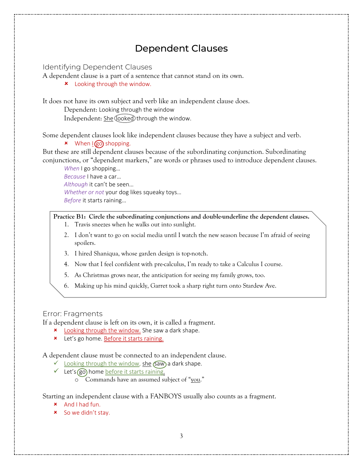## Dependent Clauses

Identifying Dependent Clauses

A dependent clause is a part of a sentence that cannot stand on its own.

**\*** Looking through the window.

It does not have its own subject and verb like an independent clause does.

Dependent: Looking through the window

Independent: She looked through the window.

Some dependent clauses look like independent clauses because they have a subject and verb.

 $x$  When  $\log$  shopping.

But these are still dependent clauses because of the subordinating conjunction. Subordinating conjunctions, or "dependent markers," are words or phrases used to introduce dependent clauses.

*When* I go shopping… *Because* I have a car… *Although* it can't be seen… *Whether or not* your dog likes squeaky toys… *Before* it starts raining…

### **Practice B1: Circle the subordinating conjunctions and double-underline the dependent clauses.**

- 1. Travis sneezes when he walks out into sunlight.
- 2. I don't want to go on social media until I watch the new season because I'm afraid of seeing spoilers.
- 3. I hired Shaniqua, whose garden design is top-notch.
- 4. Now that I feel confident with pre-calculus, I'm ready to take a Calculus I course.
- 5. As Christmas grows near, the anticipation for seeing my family grows, too.
- 6. Making up his mind quickly, Garret took a sharp right turn onto Stardew Ave.

### Error: Fragments

If a dependent clause is left on its own, it is called a fragment.

- **\*** Looking through the window. She saw a dark shape.
- **\*** Let's go home. Before it starts raining.

A dependent clause must be connected to an independent clause.

- $\checkmark$  Looking through the window, she (saw) a dark shape.
- $\checkmark$  Let's (go) home before it starts raining.
	- o Commands have an assumed subject of "you."

Starting an independent clause with a FANBOYS usually also counts as a fragment.

- And I had fun.
- **x** So we didn't stay.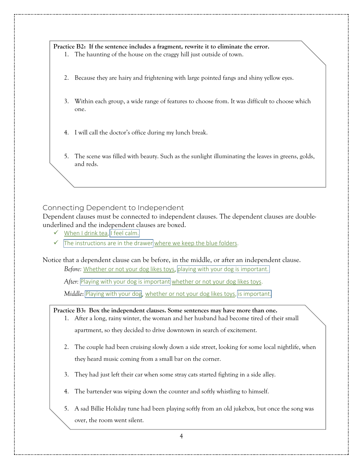**Practice B2: If the sentence includes a fragment, rewrite it to eliminate the error.**

- 1. The haunting of the house on the craggy hill just outside of town.
- 2. Because they are hairy and frightening with large pointed fangs and shiny yellow eyes.
- 3. Within each group, a wide range of features to choose from. It was difficult to choose which one.
- 4. I will call the doctor's office during my lunch break.
- 5. The scene was filled with beauty. Such as the sunlight illuminating the leaves in greens, golds, and reds.

### Connecting Dependent to Independent

Dependent clauses must be connected to independent clauses. The dependent clauses are doubleunderlined and the independent clauses are boxed.

- $\checkmark$  When I drink tea, I feel calm.
- $\checkmark$  The instructions are in the drawer where we keep the blue folders.

Notice that a dependent clause can be before, in the middle, or after an independent clause.

Before: Whether or not your dog likes toys, playing with your dog is important.

After: Playing with your dog is important whether or not your dog likes toys.

*Middle*: Playing with your dog, whether or not your dog likes toys, is important.

**Practice B3: Box the independent clauses. Some sentences may have more than one.**

- 1. After a long, rainy winter, the woman and her husband had become tired of their small apartment, so they decided to drive downtown in search of excitement.
- 2. The couple had been cruising slowly down a side street, looking for some local nightlife, when they heard music coming from a small bar on the corner.
- 3. They had just left their car when some stray cats started fighting in a side alley.
- 4. The bartender was wiping down the counter and softly whistling to himself.
- 5. A sad Billie Holiday tune had been playing softly from an old jukebox, but once the song was over, the room went silent.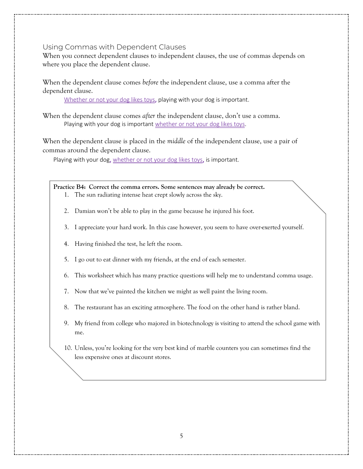### Using Commas with Dependent Clauses

When you connect dependent clauses to independent clauses, the use of commas depends on where you place the dependent clause.

When the dependent clause comes *before* the independent clause, use a comma after the dependent clause.

Whether or not your dog likes toys, playing with your dog is important.

When the dependent clause comes *after* the independent clause, don't use a comma. Playing with your dog is important whether or not your dog likes toys.

When the dependent clause is placed in the *middle* of the independent clause, use a pair of commas around the dependent clause.

Playing with your dog, whether or not your dog likes toys, is important.

**Practice B4: Correct the comma errors. Some sentences may already be correct.**

- 1. The sun radiating intense heat crept slowly across the sky.
- 2. Damian won't be able to play in the game because he injured his foot.
- 3. I appreciate your hard work. In this case however, you seem to have over-exerted yourself.
- 4. Having finished the test, he left the room.
- 5. I go out to eat dinner with my friends, at the end of each semester.
- 6. This worksheet which has many practice questions will help me to understand comma usage.
- 7. Now that we've painted the kitchen we might as well paint the living room.
- 8. The restaurant has an exciting atmosphere. The food on the other hand is rather bland.
- 9. My friend from college who majored in biotechnology is visiting to attend the school game with me.
- 10. Unless, you're looking for the very best kind of marble counters you can sometimes find the less expensive ones at discount stores.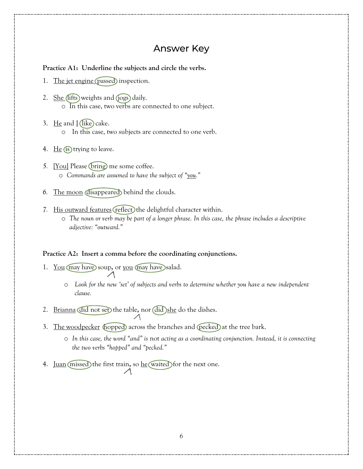## Answer Key

#### **Practice A1: Underline the subjects and circle the verbs.**

- 1. The jet engine (passed) inspection.
- 2. <u>She (lifts</u>) weights and (jogs) daily. o In this case, two verbs are connected to one subject.
- 3. He and  $I$  (like) cake. o In this case, two subjects are connected to one verb.
- 4.  $He$  (is) trying to leave.
- *5.* [You] Please (bring) me some coffee. o *Commands are assumed to have the subject of "you."*
- *6.* The moon disappeared behind the clouds.
- 7. His outward features (reflect) the delightful character within.
	- o *The noun or verb may be part of a longer phrase. In this case, the phrase includes a descriptive adjective: "outward."*

#### **Practice A2: Insert a comma before the coordinating conjunctions.**

1. You may have soup**,** or you may have salad.

 $\overline{\phantom{a}}$ 

- o *Look for the new 'set' of subjects and verbs to determine whether you have a new independent clause.*
- 2. Brianna did not set the table, nor did she do the dishes.
- 3. The woodpecker (hopped) across the branches and (pecked) at the tree bark.
	- o *In this case, the word "and" is* not *acting as a coordinating conjunction. Instead, it is connecting the two verbs "hopped" and "pecked."*
- 4. <u>Juan</u> (missed) the first train, so he waited for the next one.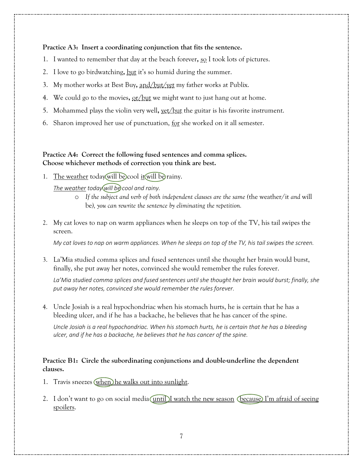### **Practice A3: Insert a coordinating conjunction that fits the sentence.**

- 1. I wanted to remember that day at the beach forever**,** so I took lots of pictures.
- 2. I love to go birdwatching**,** but it's so humid during the summer.
- 3. My mother works at Best Buy**,** and/but/yet my father works at Publix.
- 4. We could go to the movies**,** or/but we might want to just hang out at home.
- 5. Mohammed plays the violin very well**,** yet/but the guitar is his favorite instrument.
- 6. Sharon improved her use of punctuation, for she worked on it all semester.

### **Practice A4: Correct the following fused sentences and comma splices. Choose whichever methods of correction you think are best.**

1. The weather today will be cool it will be rainy.

### *The weather today will be cool and rainy.*

- o *If the subject and verb of both independent clauses are the same (*the weather/it *and* will be*), you can rewrite the sentence by eliminating the repetition.*
- 2. My cat loves to nap on warm appliances when he sleeps on top of the TV, his tail swipes the screen.

*My cat loves to nap on warm appliances. When he sleeps on top of the TV, his tail swipes the screen.*

3. La'Mia studied comma splices and fused sentences until she thought her brain would burst, finally, she put away her notes, convinced she would remember the rules forever.

*La'Mia studied comma splices and fused sentences until she thought her brain would burst; finally, she put away her notes, convinced she would remember the rules forever.*

4. Uncle Josiah is a real hypochondriac when his stomach hurts, he is certain that he has a bleeding ulcer, and if he has a backache, he believes that he has cancer of the spine.

*Uncle Josiah is a real hypochondriac. When his stomach hurts, he is certain that he has a bleeding ulcer, and if he has a backache, he believes that he has cancer of the spine.*

### **Practice B1: Circle the subordinating conjunctions and double-underline the dependent clauses.**

- 1. Travis sneezes (when) he walks out into sunlight.
- 2. I don't want to go on social media  $($ until) I watch the new season (because) I'm afraid of seeing spoilers.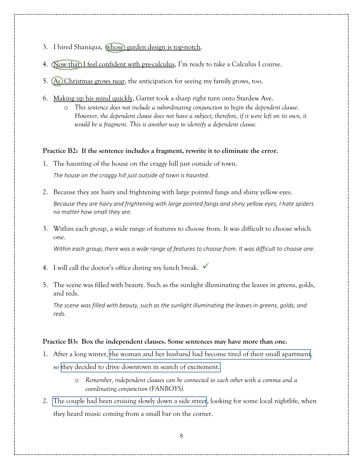- 3. I hired Shaniqua, whose) garden design is top-notch.
- 4. Now that I feel confident with pre-calculus, I'm ready to take a Calculus I course.
- 5.  $(A<sub>s</sub>)$ Christmas grows near, the anticipation for seeing my family grows, too.
- 6. Making up his mind quickly, Garret took a sharp right turn onto Stardew Ave.
	- o *This sentence does not include a subordinating conjunction to begin the dependent clause. However, the dependent clause does not have a subject; therefore, if it were left on its own, it would be a fragment. This is another way to identify a dependent clause.*

#### **Practice B2: If the sentence includes a fragment, rewrite it to eliminate the error.**

- 1. The haunting of the house on the craggy hill just outside of town. *The house on the craggy hill just outside of town is haunted.*
- 2. Because they are hairy and frightening with large pointed fangs and shiny yellow eyes. *Because they are hairy and frightening with large pointed fangs and shiny yellow eyes, I hate spiders no matter how small they are.*
- 3. Within each group, a wide range of features to choose from. It was difficult to choose which one.

*Within each group, there was a wide range of features to choose from. It was difficult to choose one.*

- 4. I will call the doctor's office during my lunch break.  $\checkmark$
- 5. The scene was filled with beauty. Such as the sunlight illuminating the leaves in greens, golds, and reds.

*The scene was filled with beauty, such as the sunlight illuminating the leaves in greens, golds, and reds.*

#### **Practice B3: Box the independent clauses. Some sentences may have more than one.**

1. After a long winter, the woman and her husband had become tired of their small apartment.

so they decided to drive downtown in search of excitement.

- o *Remember, independent clauses can be connected to each other with a comma and a coordinating conjunction (FANBOYS).*
- 2. The couple had been cruising slowly down a side street, looking for some local nightlife, when they heard music coming from a small bar on the corner.